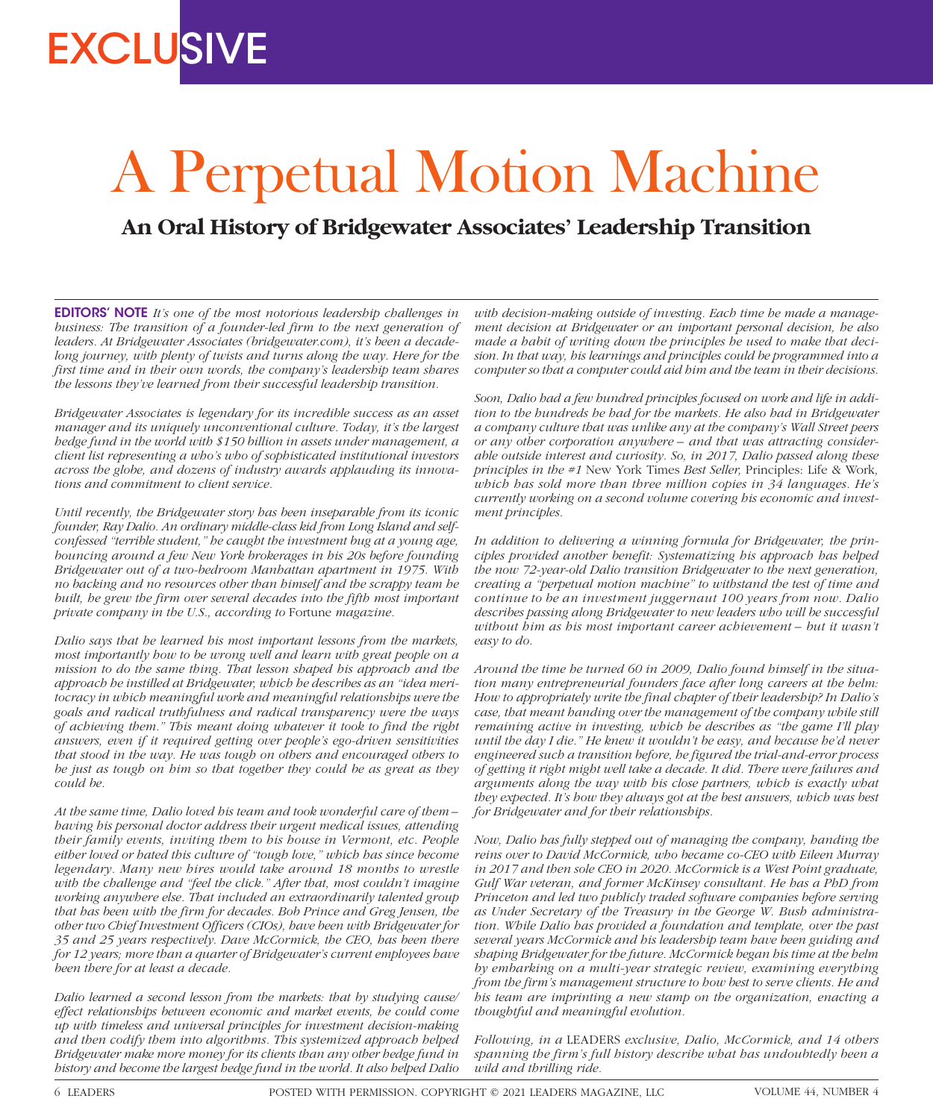# A Perpetual Motion Machine

**An Oral History of Bridgewater Associates' Leadership Transition**

EDITORS' NOTE *It's one of the most notorious leadership challenges in business: The transition of a founder-led firm to the next generation of leaders. At Bridgewater Associates (bridgewater.com), it's been a decade*long journey, with plenty of twists and turns along the way. Here for the *first time and in their own words, the company's leadership team shares the lessons they've learned from their successful leadership transition.* 

*Bridgewater Associates is legendary for its incredible success as an asset manager and its uniquely unconventional culture. Today, it's the largest hedge fund in the world with \$150 billion in assets under management, a client list representing a who's who of sophisticated institutional investors across the globe, and dozens of industry awards applauding its innovations and commitment to client service.* 

*Until recently, the Bridgewater story has been inseparable from its iconic founder, Ray Dalio. An ordinary middle-class kid from Long Island and selfconfessed "terrible student," he caught the investment bug at a young age, bouncing around a few New York brokerages in his 20s before founding Bridgewater out of a two-bedroom Manhattan apartment in 1975. With no backing and no resources other than himself and the scrappy team he built, he grew the firm over several decades into the fifth most important private company in the U.S., according to* Fortune *magazine.*

*Dalio says that he learned his most important lessons from the markets, most importantly how to be wrong well and learn with great people on a mission to do the same thing. That lesson shaped his approach and the approach he instilled at Bridgewater, which he describes as an "idea meritocracy in which meaningful work and meaningful relationships were the goals and radical truthfulness and radical transparency were the ways of achieving them." This meant doing whatever it took to find the right answers, even if it required getting over people's ego-driven sensitivities that stood in the way. He was tough on others and encouraged others to be just as tough on him so that together they could be as great as they could be.* 

*At the same time, Dalio loved his team and took wonderful care of them – having his personal doctor address their urgent medical issues, attending their family events, inviting them to his house in Vermont, etc. People either loved or hated this culture of "tough love," which has since become legendary. Many new hires would take around 18 months to wrestle with the challenge and "feel the click." After that, most couldn't imagine working anywhere else. That included an extraordinarily talented group that has been with the firm for decades. Bob Prince and Greg Jensen, the other two Chief Investment Officers (CIOs), have been with Bridgewater for 35 and 25 years respectively. Dave McCormick, the CEO, has been there for 12 years; more than a quarter of Bridgewater's current employees have been there for at least a decade.* 

*Dalio learned a second lesson from the markets: that by studying cause/ effect relationships between economic and market events, he could come up with timeless and universal principles for investment decision-making and then codify them into algorithms. This systemized approach helped Bridgewater make more money for its clients than any other hedge fund in history and become the largest hedge fund in the world. It also helped Dalio* 

*with decision-making outside of investing. Each time he made a management decision at Bridgewater or an important personal decision, he also made a habit of writing down the principles he used to make that decision. In that way, his learnings and principles could be programmed into a computer so that a computer could aid him and the team in their decisions.* 

*Soon, Dalio had a few hundred principles focused on work and life in addition to the hundreds he had for the markets. He also had in Bridgewater a company culture that was unlike any at the company's Wall Street peers or any other corporation anywhere – and that was attracting considerable outside interest and curiosity. So, in 2017, Dalio passed along these principles in the #1* New York Times *Best Seller,* Principles: Life & Work*, which has sold more than three million copies in 34 languages. He's currently working on a second volume covering his economic and investment principles.*

*In addition to delivering a winning formula for Bridgewater, the principles provided another benefit: Systematizing his approach has helped the now 72-year-old Dalio transition Bridgewater to the next generation, creating a "perpetual motion machine" to withstand the test of time and continue to be an investment juggernaut 100 years from now. Dalio describes passing along Bridgewater to new leaders who will be successful without him as his most important career achievement – but it wasn't easy to do.* 

*Around the time he turned 60 in 2009, Dalio found himself in the situation many entrepreneurial founders face after long careers at the helm: How to appropriately write the final chapter of their leadership? In Dalio's case, that meant handing over the management of the company while still remaining active in investing, which he describes as "the game I'll play until the day I die." He knew it wouldn't be easy, and because he'd never engineered such a transition before, he figured the trial-and-error process of getting it right might well take a decade. It did. There were failures and arguments along the way with his close partners, which is exactly what they expected. It's how they always got at the best answers, which was best for Bridgewater and for their relationships.* 

*Now, Dalio has fully stepped out of managing the company, handing the reins over to David McCormick, who became co-CEO with Eileen Murray in 2017 and then sole CEO in 2020. McCormick is a West Point graduate, Gulf War veteran, and former McKinsey consultant. He has a PhD from Princeton and led two publicly traded software companies before serving as Under Secretary of the Treasury in the George W. Bush administration. While Dalio has provided a foundation and template, over the past several years McCormick and his leadership team have been guiding and shaping Bridgewater for the future. McCormick began his time at the helm by embarking on a multi-year strategic review, examining everything from the firm's management structure to how best to serve clients. He and his team are imprinting a new stamp on the organization, enacting a thoughtful and meaningful evolution.*

*Following, in a* LEADERS *exclusive, Dalio, McCormick, and 14 others spanning the firm's full history describe what has undoubtedly been a wild and thrilling ride.*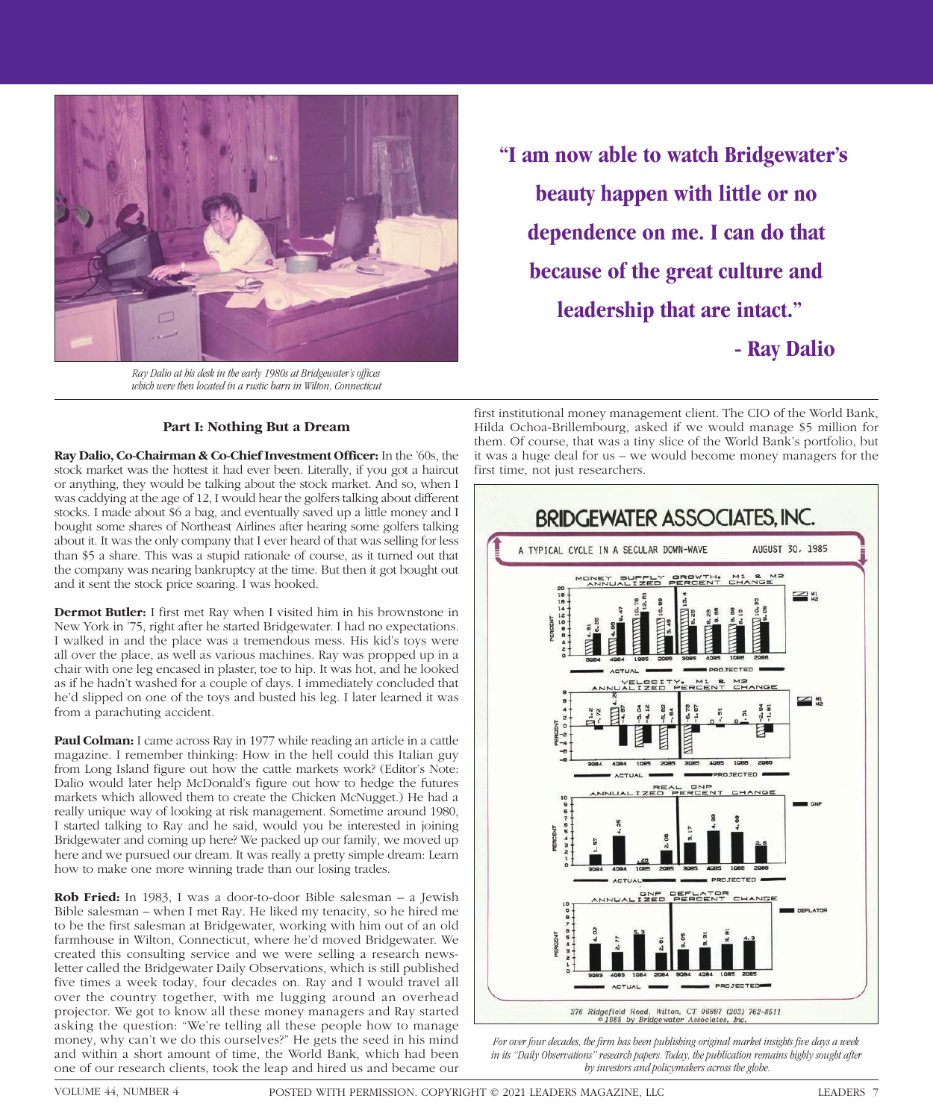

*Ray Dalio at his desk in the early 1980s at Bridgewater's offices which were then located in a rustic barn in Wilton, Connecticut*

# **Part I: Nothing But a Dream**

**Ray Dalio, Co-Chairman & Co-Chief Investment Officer:** In the '60s, the stock market was the hottest it had ever been. Literally, if you got a haircut or anything, they would be talking about the stock market. And so, when I was caddying at the age of 12, I would hear the golfers talking about different stocks. I made about \$6 a bag, and eventually saved up a little money and I bought some shares of Northeast Airlines after hearing some golfers talking about it. It was the only company that I ever heard of that was selling for less than \$5 a share. This was a stupid rationale of course, as it turned out that the company was nearing bankruptcy at the time. But then it got bought out and it sent the stock price soaring. I was hooked.

**Dermot Butler:** I first met Ray when I visited him in his brownstone in New York in '75, right after he started Bridgewater. I had no expectations. I walked in and the place was a tremendous mess. His kid's toys were all over the place, as well as various machines. Ray was propped up in a chair with one leg encased in plaster, toe to hip. It was hot, and he looked as if he hadn't washed for a couple of days. I immediately concluded that he'd slipped on one of the toys and busted his leg. I later learned it was from a parachuting accident.

**Paul Colman:** I came across Ray in 1977 while reading an article in a cattle magazine. I remember thinking: How in the hell could this Italian guy from Long Island figure out how the cattle markets work? (Editor's Note: Dalio would later help McDonald's figure out how to hedge the futures markets which allowed them to create the Chicken McNugget.) He had a really unique way of looking at risk management. Sometime around 1980, I started talking to Ray and he said, would you be interested in joining Bridgewater and coming up here? We packed up our family, we moved up here and we pursued our dream. It was really a pretty simple dream: Learn how to make one more winning trade than our losing trades.

**Rob Fried:** In 1983, I was a door-to-door Bible salesman – a Jewish Bible salesman – when I met Ray. He liked my tenacity, so he hired me to be the first salesman at Bridgewater, working with him out of an old farmhouse in Wilton, Connecticut, where he'd moved Bridgewater. We created this consulting service and we were selling a research newsletter called the Bridgewater Daily Observations, which is still published five times a week today, four decades on. Ray and I would travel all over the country together, with me lugging around an overhead projector. We got to know all these money managers and Ray started asking the question: "We're telling all these people how to manage money, why can't we do this ourselves?" He gets the seed in his mind and within a short amount of time, the World Bank, which had been one of our research clients, took the leap and hired us and became our

**"I am now able to watch Bridgewater's beauty happen with little or no dependence on me. I can do that because of the great culture and leadership that are intact." - Ray Dalio** 

first institutional money management client. The CIO of the World Bank, Hilda Ochoa-Brillembourg, asked if we would manage \$5 million for them. Of course, that was a tiny slice of the World Bank's portfolio, but it was a huge deal for us – we would become money managers for the first time, not just researchers.



*For over four decades, the firm has been publishing original market insights five days a week in its "Daily Observations" research papers. Today, the publication remains highly sought after by investors and policymakers across the globe.*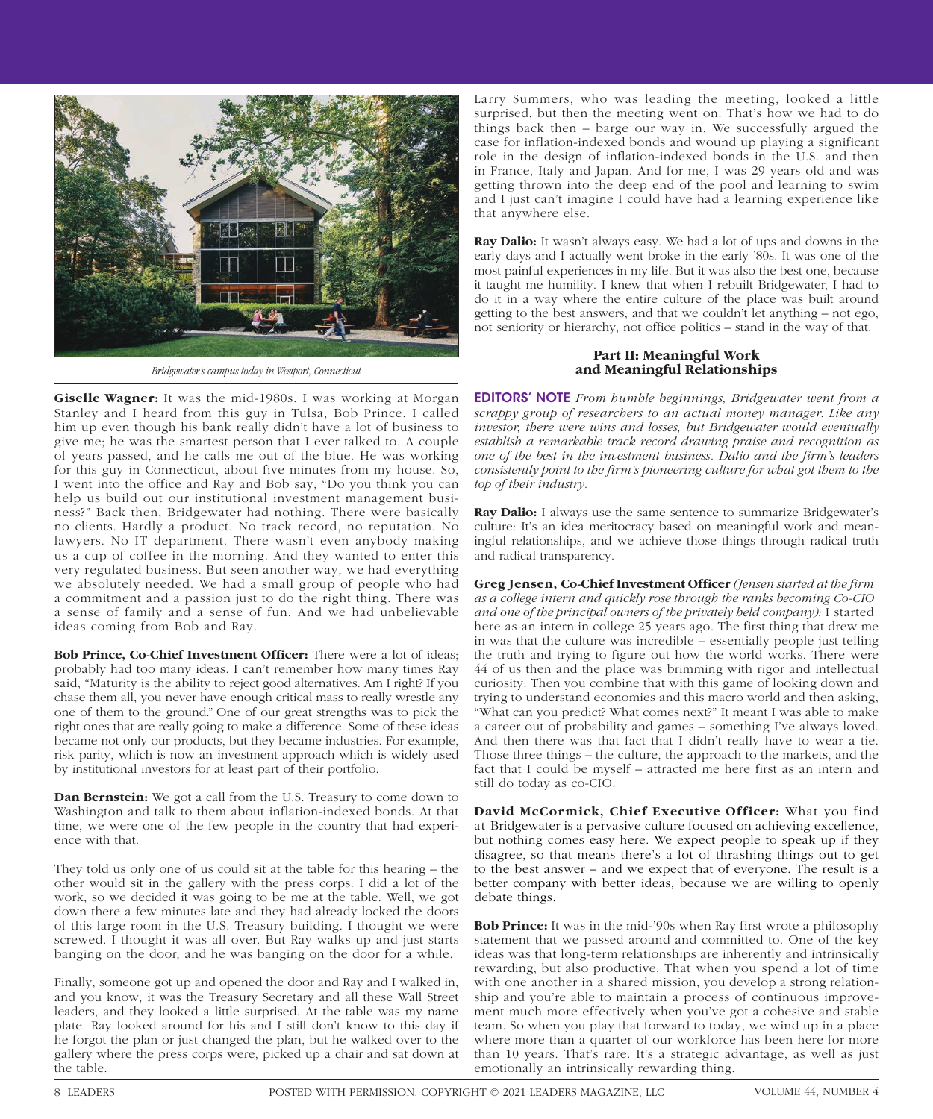

*Bridgewater's campus today in Westport, Connecticut*

**Giselle Wagner:** It was the mid-1980s. I was working at Morgan Stanley and I heard from this guy in Tulsa, Bob Prince. I called him up even though his bank really didn't have a lot of business to give me; he was the smartest person that I ever talked to. A couple of years passed, and he calls me out of the blue. He was working for this guy in Connecticut, about five minutes from my house. So, I went into the office and Ray and Bob say, "Do you think you can help us build out our institutional investment management business?" Back then, Bridgewater had nothing. There were basically no clients. Hardly a product. No track record, no reputation. No lawyers. No IT department. There wasn't even anybody making us a cup of coffee in the morning. And they wanted to enter this very regulated business. But seen another way, we had everything we absolutely needed. We had a small group of people who had a commitment and a passion just to do the right thing. There was a sense of family and a sense of fun. And we had unbelievable ideas coming from Bob and Ray.

**Bob Prince, Co-Chief Investment Officer:** There were a lot of ideas; probably had too many ideas. I can't remember how many times Ray said, "Maturity is the ability to reject good alternatives. Am I right? If you chase them all, you never have enough critical mass to really wrestle any one of them to the ground." One of our great strengths was to pick the right ones that are really going to make a difference. Some of these ideas became not only our products, but they became industries. For example, risk parity, which is now an investment approach which is widely used by institutional investors for at least part of their portfolio.

**Dan Bernstein:** We got a call from the U.S. Treasury to come down to Washington and talk to them about inflation-indexed bonds. At that time, we were one of the few people in the country that had experience with that.

They told us only one of us could sit at the table for this hearing – the other would sit in the gallery with the press corps. I did a lot of the work, so we decided it was going to be me at the table. Well, we got down there a few minutes late and they had already locked the doors of this large room in the U.S. Treasury building. I thought we were screwed. I thought it was all over. But Ray walks up and just starts banging on the door, and he was banging on the door for a while.

Finally, someone got up and opened the door and Ray and I walked in, and you know, it was the Treasury Secretary and all these Wall Street leaders, and they looked a little surprised. At the table was my name plate. Ray looked around for his and I still don't know to this day if he forgot the plan or just changed the plan, but he walked over to the gallery where the press corps were, picked up a chair and sat down at the table.

Larry Summers, who was leading the meeting, looked a little surprised, but then the meeting went on. That's how we had to do things back then – barge our way in. We successfully argued the case for inflation-indexed bonds and wound up playing a significant role in the design of inflation-indexed bonds in the U.S. and then in France, Italy and Japan. And for me, I was 29 years old and was getting thrown into the deep end of the pool and learning to swim and I just can't imagine I could have had a learning experience like that anywhere else.

**Ray Dalio:** It wasn't always easy. We had a lot of ups and downs in the early days and I actually went broke in the early '80s. It was one of the most painful experiences in my life. But it was also the best one, because it taught me humility. I knew that when I rebuilt Bridgewater, I had to do it in a way where the entire culture of the place was built around getting to the best answers, and that we couldn't let anything – not ego, not seniority or hierarchy, not office politics – stand in the way of that.

### **Part II: Meaningful Work and Meaningful Relationships**

EDITORS' NOTE *From humble beginnings, Bridgewater went from a scrappy group of researchers to an actual money manager. Like any investor, there were wins and losses, but Bridgewater would eventually establish a remarkable track record drawing praise and recognition as one of the best in the investment business. Dalio and the firm's leaders consistently point to the firm's pioneering culture for what got them to the top of their industry.*

**Ray Dalio:** I always use the same sentence to summarize Bridgewater's culture: It's an idea meritocracy based on meaningful work and meaningful relationships, and we achieve those things through radical truth and radical transparency.

**Greg Jensen, Co-Chief Investment Officer** *(Jensen started at the firm as a college intern and quickly rose through the ranks becoming Co-CIO and one of the principal owners of the privately held company):* I started here as an intern in college 25 years ago. The first thing that drew me in was that the culture was incredible – essentially people just telling the truth and trying to figure out how the world works. There were 44 of us then and the place was brimming with rigor and intellectual curiosity. Then you combine that with this game of looking down and trying to understand economies and this macro world and then asking, "What can you predict? What comes next?" It meant I was able to make a career out of probability and games – something I've always loved. And then there was that fact that I didn't really have to wear a tie. Those three things – the culture, the approach to the markets, and the fact that I could be myself – attracted me here first as an intern and still do today as co-CIO.

**David McCormick, Chief Executive Officer:** What you find at Bridgewater is a pervasive culture focused on achieving excellence, but nothing comes easy here. We expect people to speak up if they disagree, so that means there's a lot of thrashing things out to get to the best answer – and we expect that of everyone. The result is a better company with better ideas, because we are willing to openly debate things.

**Bob Prince:** It was in the mid-'90s when Ray first wrote a philosophy statement that we passed around and committed to. One of the key ideas was that long-term relationships are inherently and intrinsically rewarding, but also productive. That when you spend a lot of time with one another in a shared mission, you develop a strong relationship and you're able to maintain a process of continuous improvement much more effectively when you've got a cohesive and stable team. So when you play that forward to today, we wind up in a place where more than a quarter of our workforce has been here for more than 10 years. That's rare. It's a strategic advantage, as well as just emotionally an intrinsically rewarding thing.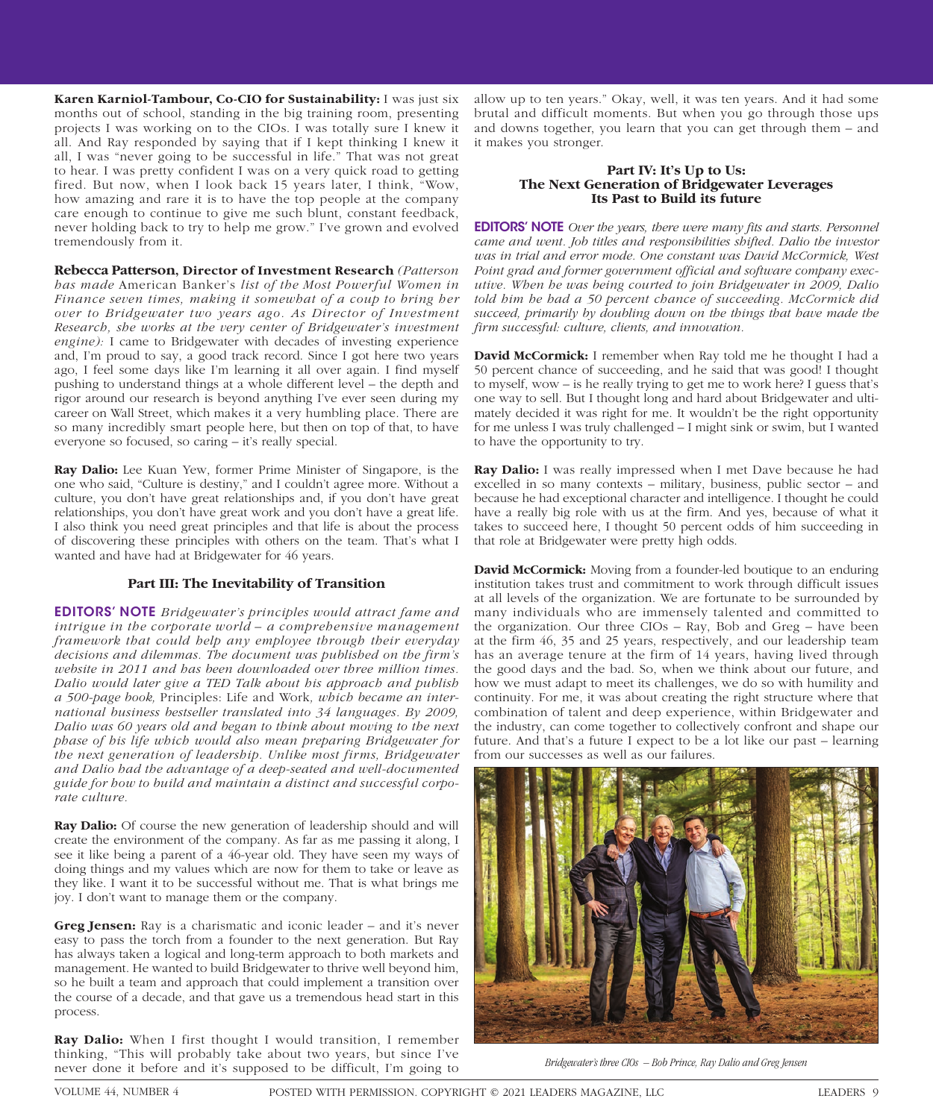**Karen Karniol-Tambour, Co-CIO for Sustainability:** I was just six months out of school, standing in the big training room, presenting projects I was working on to the CIOs. I was totally sure I knew it all. And Ray responded by saying that if I kept thinking I knew it all, I was "never going to be successful in life." That was not great to hear. I was pretty confident I was on a very quick road to getting fired. But now, when I look back 15 years later, I think, "Wow, how amazing and rare it is to have the top people at the company care enough to continue to give me such blunt, constant feedback, never holding back to try to help me grow." I've grown and evolved tremendously from it.

**Rebecca Patterson, Director of Investment Research** *(Patterson has made* American Banker's *list of the Most Powerful Women in Finance seven times, making it somewhat of a coup to bring her over to Bridgewater two years ago. As Director of Investment Research, she works at the very center of Bridgewater's investment engine):* I came to Bridgewater with decades of investing experience and, I'm proud to say, a good track record. Since I got here two years ago, I feel some days like I'm learning it all over again. I find myself pushing to understand things at a whole different level – the depth and rigor around our research is beyond anything I've ever seen during my career on Wall Street, which makes it a very humbling place. There are so many incredibly smart people here, but then on top of that, to have everyone so focused, so caring – it's really special.

**Ray Dalio:** Lee Kuan Yew, former Prime Minister of Singapore, is the one who said, "Culture is destiny," and I couldn't agree more. Without a culture, you don't have great relationships and, if you don't have great relationships, you don't have great work and you don't have a great life. I also think you need great principles and that life is about the process of discovering these principles with others on the team. That's what I wanted and have had at Bridgewater for 46 years.

### **Part III: The Inevitability of Transition**

EDITORS' NOTE *Bridgewater's principles would attract fame and intrigue in the corporate world – a comprehensive management framework that could help any employee through their everyday decisions and dilemmas. The document was published on the firm's website in 2011 and has been downloaded over three million times. Dalio would later give a TED Talk about his approach and publish a 500-page book,* Principles: Life and Work*, which became an international business bestseller translated into 34 languages. By 2009, Dalio was 60 years old and began to think about moving to the next phase of his life which would also mean preparing Bridgewater for the next generation of leadership. Unlike most firms, Bridgewater and Dalio had the advantage of a deep-seated and well-documented guide for how to build and maintain a distinct and successful corporate culture.*

**Ray Dalio:** Of course the new generation of leadership should and will create the environment of the company. As far as me passing it along, I see it like being a parent of a 46-year old. They have seen my ways of doing things and my values which are now for them to take or leave as they like. I want it to be successful without me. That is what brings me joy. I don't want to manage them or the company.

**Greg Jensen:** Ray is a charismatic and iconic leader – and it's never easy to pass the torch from a founder to the next generation. But Ray has always taken a logical and long-term approach to both markets and management. He wanted to build Bridgewater to thrive well beyond him, so he built a team and approach that could implement a transition over the course of a decade, and that gave us a tremendous head start in this process.

**Ray Dalio:** When I first thought I would transition, I remember thinking, "This will probably take about two years, but since I've never done it before and it's supposed to be difficult, I'm going to

allow up to ten years." Okay, well, it was ten years. And it had some brutal and difficult moments. But when you go through those ups and downs together, you learn that you can get through them – and it makes you stronger.

#### **Part IV: It's Up to Us: The Next Generation of Bridgewater Leverages Its Past to Build its future**

EDITORS' NOTE *Over the years, there were many fits and starts. Personnel came and went. Job titles and responsibilities shifted. Dalio the investor was in trial and error mode. One constant was David McCormick, West Point grad and former government official and software company executive. When he was being courted to join Bridgewater in 2009, Dalio told him he had a 50 percent chance of succeeding. McCormick did succeed, primarily by doubling down on the things that have made the firm successful: culture, clients, and innovation.*

**David McCormick:** I remember when Ray told me he thought I had a 50 percent chance of succeeding, and he said that was good! I thought to myself, wow – is he really trying to get me to work here? I guess that's one way to sell. But I thought long and hard about Bridgewater and ultimately decided it was right for me. It wouldn't be the right opportunity for me unless I was truly challenged – I might sink or swim, but I wanted to have the opportunity to try.

**Ray Dalio:** I was really impressed when I met Dave because he had excelled in so many contexts – military, business, public sector – and because he had exceptional character and intelligence. I thought he could have a really big role with us at the firm. And yes, because of what it takes to succeed here, I thought 50 percent odds of him succeeding in that role at Bridgewater were pretty high odds.

**David McCormick:** Moving from a founder-led boutique to an enduring institution takes trust and commitment to work through difficult issues at all levels of the organization. We are fortunate to be surrounded by many individuals who are immensely talented and committed to the organization. Our three CIOs – Ray, Bob and Greg – have been at the firm 46, 35 and 25 years, respectively, and our leadership team has an average tenure at the firm of 14 years, having lived through the good days and the bad. So, when we think about our future, and how we must adapt to meet its challenges, we do so with humility and continuity. For me, it was about creating the right structure where that combination of talent and deep experience, within Bridgewater and the industry, can come together to collectively confront and shape our future. And that's a future I expect to be a lot like our past – learning from our successes as well as our failures.



*Bridgewater's three CIOs – Bob Prince, Ray Dalio and Greg Jensen*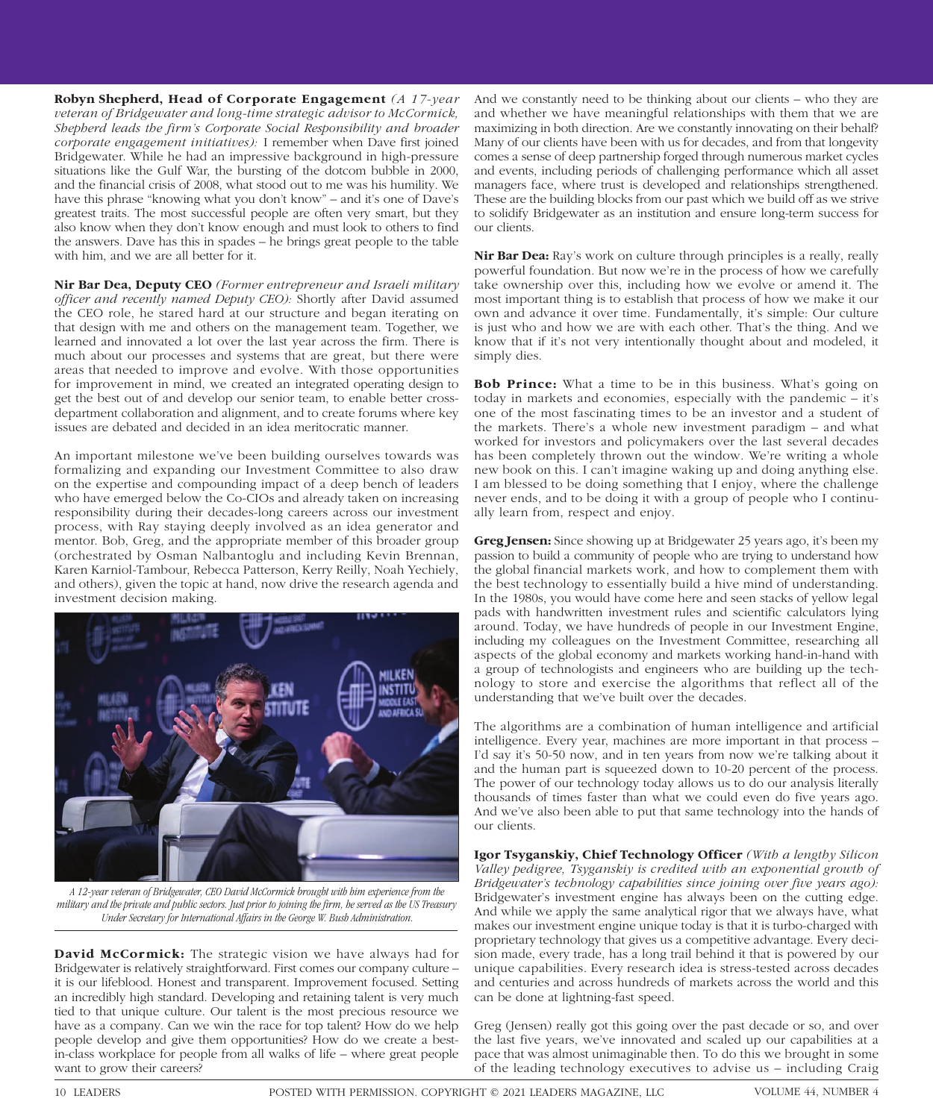**Robyn Shepherd, Head of Corporate Engagement** *(A 17-year veteran of Bridgewater and long-time strategic advisor to McCormick, Shepherd leads the firm's Corporate Social Responsibility and broader corporate engagement initiatives):* I remember when Dave first joined Bridgewater. While he had an impressive background in high-pressure situations like the Gulf War, the bursting of the dotcom bubble in 2000, and the financial crisis of 2008, what stood out to me was his humility. We have this phrase "knowing what you don't know" – and it's one of Dave's greatest traits. The most successful people are often very smart, but they also know when they don't know enough and must look to others to find the answers. Dave has this in spades – he brings great people to the table with him, and we are all better for it.

**Nir Bar Dea, Deputy CEO** *(Former entrepreneur and Israeli military officer and recently named Deputy CEO):* Shortly after David assumed the CEO role, he stared hard at our structure and began iterating on that design with me and others on the management team. Together, we learned and innovated a lot over the last year across the firm. There is much about our processes and systems that are great, but there were areas that needed to improve and evolve. With those opportunities for improvement in mind, we created an integrated operating design to get the best out of and develop our senior team, to enable better crossdepartment collaboration and alignment, and to create forums where key issues are debated and decided in an idea meritocratic manner.

An important milestone we've been building ourselves towards was formalizing and expanding our Investment Committee to also draw on the expertise and compounding impact of a deep bench of leaders who have emerged below the Co-CIOs and already taken on increasing responsibility during their decades-long careers across our investment process, with Ray staying deeply involved as an idea generator and mentor. Bob, Greg, and the appropriate member of this broader group (orchestrated by Osman Nalbantoglu and including Kevin Brennan, Karen Karniol-Tambour, Rebecca Patterson, Kerry Reilly, Noah Yechiely, and others), given the topic at hand, now drive the research agenda and investment decision making.



 *A 12-year veteran of Bridgewater, CEO David McCormick brought with him experience from the military and the private and public sectors. Just prior to joining the firm, he served as the US Treasury Under Secretary for International Affairs in the George W. Bush Administration.*

**David McCormick:** The strategic vision we have always had for Bridgewater is relatively straightforward. First comes our company culture – it is our lifeblood. Honest and transparent. Improvement focused. Setting an incredibly high standard. Developing and retaining talent is very much tied to that unique culture. Our talent is the most precious resource we have as a company. Can we win the race for top talent? How do we help people develop and give them opportunities? How do we create a bestin-class workplace for people from all walks of life – where great people want to grow their careers?

And we constantly need to be thinking about our clients – who they are and whether we have meaningful relationships with them that we are maximizing in both direction. Are we constantly innovating on their behalf? Many of our clients have been with us for decades, and from that longevity comes a sense of deep partnership forged through numerous market cycles and events, including periods of challenging performance which all asset managers face, where trust is developed and relationships strengthened. These are the building blocks from our past which we build off as we strive to solidify Bridgewater as an institution and ensure long-term success for our clients.

**Nir Bar Dea:** Ray's work on culture through principles is a really, really powerful foundation. But now we're in the process of how we carefully take ownership over this, including how we evolve or amend it. The most important thing is to establish that process of how we make it our own and advance it over time. Fundamentally, it's simple: Our culture is just who and how we are with each other. That's the thing. And we know that if it's not very intentionally thought about and modeled, it simply dies.

**Bob Prince:** What a time to be in this business. What's going on today in markets and economies, especially with the pandemic – it's one of the most fascinating times to be an investor and a student of the markets. There's a whole new investment paradigm – and what worked for investors and policymakers over the last several decades has been completely thrown out the window. We're writing a whole new book on this. I can't imagine waking up and doing anything else. I am blessed to be doing something that I enjoy, where the challenge never ends, and to be doing it with a group of people who I continually learn from, respect and enjoy.

**Greg Jensen:** Since showing up at Bridgewater 25 years ago, it's been my passion to build a community of people who are trying to understand how the global financial markets work, and how to complement them with the best technology to essentially build a hive mind of understanding. In the 1980s, you would have come here and seen stacks of yellow legal pads with handwritten investment rules and scientific calculators lying around. Today, we have hundreds of people in our Investment Engine, including my colleagues on the Investment Committee, researching all aspects of the global economy and markets working hand-in-hand with a group of technologists and engineers who are building up the technology to store and exercise the algorithms that reflect all of the understanding that we've built over the decades.

The algorithms are a combination of human intelligence and artificial intelligence. Every year, machines are more important in that process – I'd say it's 50-50 now, and in ten years from now we're talking about it and the human part is squeezed down to 10-20 percent of the process. The power of our technology today allows us to do our analysis literally thousands of times faster than what we could even do five years ago. And we've also been able to put that same technology into the hands of our clients.

**Igor Tsyganskiy, Chief Technology Officer** *(With a lengthy Silicon Valley pedigree, Tsyganskiy is credited with an exponential growth of Bridgewater's technology capabilities since joining over five years ago):*  Bridgewater's investment engine has always been on the cutting edge. And while we apply the same analytical rigor that we always have, what makes our investment engine unique today is that it is turbo-charged with proprietary technology that gives us a competitive advantage. Every decision made, every trade, has a long trail behind it that is powered by our unique capabilities. Every research idea is stress-tested across decades and centuries and across hundreds of markets across the world and this can be done at lightning-fast speed.

Greg (Jensen) really got this going over the past decade or so, and over the last five years, we've innovated and scaled up our capabilities at a pace that was almost unimaginable then. To do this we brought in some of the leading technology executives to advise us – including Craig